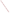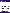

## **Fact Sheet Performance Verification of Ship Ballast Water Treatment Technologies and Exchange Screening Technologies January, 2007**

The EPA's Environmental Technology Verification Program (ETV) and the U.S. Coast Guard's National Ballast Water Management Program are participating in a joint effort to develop a performance verification protocol for new ballast water treatment technology for installation on board ships. ETV is also cooperating with Coast Guard in developing a protocol and will test technologies that screen whether ballast water exchange has taken place. Ballast water exchange is the current approach used by ships to reduce the introduction of marine organisms and is viewed by experts as an interim solution. Also, ships cannot perform ballast water exchange during rough sea conditions.

**Background:** The overwhelming majority of the world's trade goods are transported by modern shipping. An unintended consequence of this vital mode of commerce is the uptake and transport of marine organisms in ships' ballast water, and the deposition of these organisms during ballast water discharge into non-native, and ecologically sensitive coastal areas. Although many organisms don't survive the journey or the introduction into new environments, some species flourish in their new environments without natural predators. The more environmentally tolerant species become invasive and can alter the ecological balance. Invasive species can cause habitat damage, and may cause public health concerns and significant damage to water treatment infrastructure as evidenced by the Zebra and Quagga mussel infestations of the Great Lakes.

Recent advances in establishing both national and international ballast water exchange and discharge standards for ship ballast water to reduce the global proliferation of aquatic invasive species has encouraged private industry to develop treatment technologies and exchange screening technologies to address the proposed standards**.** Recognizing the need for these technologies to be independently evaluated and verified, and to accelerate commercialization and marketplace acceptance, the EPA and the U.S. Coast Guard are jointly developing a protocol for the performance verification of shipboard ballast water treatment technologies. EPA and Coast Guard are also jointly developing a protocol for testing ballast water exchange screening technologies and will soon test these technologies.

## **Project Descriptions**

**Ballast water treatment technology:** The treatment technology protocol is designed for use at a land-based testing facility, and will accommodate full-scale marine systems for either in-tank, flow-though, or combination treatment approaches. Water quality conditions for the tests will be adjusted to represent extreme, but not rare, natural conditions. In addition to ambient organism populations, surrogate organisms will be selected to represent bacteria, zooplankton, protists, and